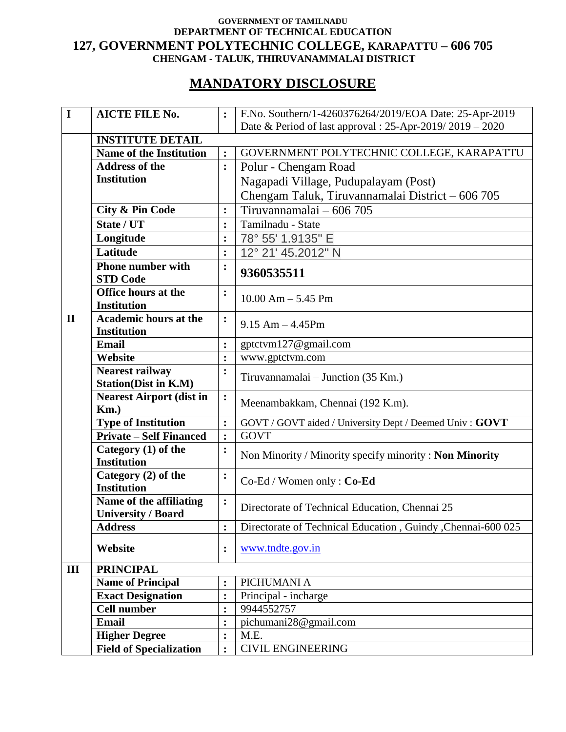## **GOVERNMENT OF TAMILNADU DEPARTMENT OF TECHNICAL EDUCATION 127, GOVERNMENT POLYTECHNIC COLLEGE, KARAPATTU – 606 705 CHENGAM - TALUK, THIRUVANAMMALAI DISTRICT**

## **MANDATORY DISCLOSURE**

| $\mathbf I$  | <b>AICTE FILE No.</b>                     | :                | F.No. Southern/1-4260376264/2019/EOA Date: 25-Apr-2019      |
|--------------|-------------------------------------------|------------------|-------------------------------------------------------------|
|              |                                           |                  | Date & Period of last approval : 25-Apr-2019/2019 - 2020    |
|              | <b>INSTITUTE DETAIL</b>                   |                  |                                                             |
|              | <b>Name of the Institution</b>            | $\ddot{\cdot}$   | GOVERNMENT POLYTECHNIC COLLEGE, KARAPATTU                   |
|              | <b>Address of the</b>                     | $\ddot{\cdot}$   | Polur - Chengam Road                                        |
|              | <b>Institution</b>                        |                  | Nagapadi Village, Pudupalayam (Post)                        |
|              |                                           |                  | Chengam Taluk, Tiruvannamalai District - 606 705            |
|              | <b>City &amp; Pin Code</b>                | $\ddot{\bullet}$ | Tiruvannamalai - 606 705                                    |
|              | State / UT                                | $\ddot{\cdot}$   | Tamilnadu - State                                           |
|              | Longitude                                 | $\ddot{\cdot}$   | 78° 55' 1.9135" E                                           |
|              | Latitude                                  | $\ddot{\cdot}$   | 12° 21' 45.2012" N                                          |
|              | <b>Phone number with</b>                  | :                |                                                             |
|              | <b>STD Code</b>                           |                  | 9360535511                                                  |
|              | <b>Office hours at the</b>                | $\ddot{\cdot}$   | $10.00$ Am $- 5.45$ Pm                                      |
|              | <b>Institution</b>                        |                  |                                                             |
| $\mathbf{I}$ | Academic hours at the                     | $\ddot{\bullet}$ | $9.15$ Am $-4.45$ Pm                                        |
|              | <b>Institution</b>                        |                  |                                                             |
|              | Email                                     | $\ddot{\cdot}$   | gptctvm127@gmail.com                                        |
|              | Website                                   | $\ddot{\cdot}$   | www.gptctvm.com                                             |
|              | <b>Nearest railway</b>                    | $\ddot{\cdot}$   | Tiruvannamalai – Junction (35 Km.)                          |
|              | <b>Station(Dist in K.M)</b>               |                  |                                                             |
|              | <b>Nearest Airport (dist in</b>           | $\ddot{\cdot}$   | Meenambakkam, Chennai (192 K.m).                            |
|              | $Km.$ )                                   |                  |                                                             |
|              | <b>Type of Institution</b>                | $\ddot{\cdot}$   | GOVT / GOVT aided / University Dept / Deemed Univ: GOVT     |
|              | <b>Private – Self Financed</b>            | :                | <b>GOVT</b>                                                 |
|              | Category (1) of the                       | $\ddot{\cdot}$   | Non Minority / Minority specify minority: Non Minority      |
|              | <b>Institution</b>                        |                  |                                                             |
|              | Category (2) of the<br><b>Institution</b> | :                | Co-Ed / Women only: Co-Ed                                   |
|              | Name of the affiliating                   | $\ddot{\cdot}$   |                                                             |
|              | <b>University / Board</b>                 |                  | Directorate of Technical Education, Chennai 25              |
|              | <b>Address</b>                            | $\ddot{\cdot}$   | Directorate of Technical Education, Guindy, Chennai-600 025 |
|              |                                           |                  |                                                             |
|              | Website                                   | $\ddot{\cdot}$   | www.tndte.gov.in                                            |
| III          | <b>PRINCIPAL</b>                          |                  |                                                             |
|              | <b>Name of Principal</b>                  | $\ddot{\cdot}$   | PICHUMANI A                                                 |
|              | <b>Exact Designation</b>                  | $\ddot{\cdot}$   | Principal - incharge                                        |
|              | <b>Cell number</b>                        | :                | 9944552757                                                  |
|              | <b>Email</b>                              | $\ddot{\cdot}$   | pichumani28@gmail.com                                       |
|              | <b>Higher Degree</b>                      | :                | M.E.                                                        |
|              | <b>Field of Specialization</b>            | $\ddot{\cdot}$   | <b>CIVIL ENGINEERING</b>                                    |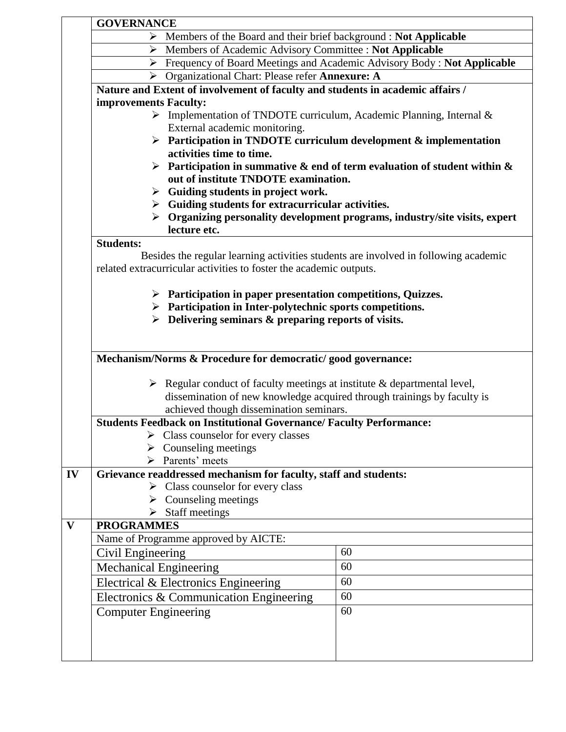|    | <b>GOVERNANCE</b>                                                                                                                                                                                                              |                                                                                   |                                                                                            |  |  |
|----|--------------------------------------------------------------------------------------------------------------------------------------------------------------------------------------------------------------------------------|-----------------------------------------------------------------------------------|--------------------------------------------------------------------------------------------|--|--|
|    |                                                                                                                                                                                                                                | $\triangleright$ Members of the Board and their brief background : Not Applicable |                                                                                            |  |  |
|    | $\blacktriangleright$                                                                                                                                                                                                          | Members of Academic Advisory Committee : Not Applicable                           |                                                                                            |  |  |
|    | Frequency of Board Meetings and Academic Advisory Body : Not Applicable                                                                                                                                                        |                                                                                   |                                                                                            |  |  |
|    | > Organizational Chart: Please refer Annexure: A                                                                                                                                                                               |                                                                                   |                                                                                            |  |  |
|    | Nature and Extent of involvement of faculty and students in academic affairs /                                                                                                                                                 |                                                                                   |                                                                                            |  |  |
|    | improvements Faculty:                                                                                                                                                                                                          |                                                                                   |                                                                                            |  |  |
|    | $\triangleright$ Implementation of TNDOTE curriculum, Academic Planning, Internal &                                                                                                                                            |                                                                                   |                                                                                            |  |  |
|    | External academic monitoring.<br>$\triangleright$ Participation in TNDOTE curriculum development & implementation                                                                                                              |                                                                                   |                                                                                            |  |  |
|    |                                                                                                                                                                                                                                |                                                                                   |                                                                                            |  |  |
|    |                                                                                                                                                                                                                                | activities time to time.                                                          |                                                                                            |  |  |
|    | Participation in summative $\&$ end of term evaluation of student within $\&$                                                                                                                                                  |                                                                                   |                                                                                            |  |  |
|    |                                                                                                                                                                                                                                | out of institute TNDOTE examination.                                              |                                                                                            |  |  |
|    | $\triangleright$ Guiding students in project work.<br>$\triangleright$ Guiding students for extracurricular activities.                                                                                                        |                                                                                   |                                                                                            |  |  |
|    |                                                                                                                                                                                                                                |                                                                                   | $\triangleright$ Organizing personality development programs, industry/site visits, expert |  |  |
|    |                                                                                                                                                                                                                                | lecture etc.                                                                      |                                                                                            |  |  |
|    | <b>Students:</b>                                                                                                                                                                                                               |                                                                                   |                                                                                            |  |  |
|    |                                                                                                                                                                                                                                |                                                                                   | Besides the regular learning activities students are involved in following academic        |  |  |
|    |                                                                                                                                                                                                                                | related extracurricular activities to foster the academic outputs.                |                                                                                            |  |  |
|    |                                                                                                                                                                                                                                |                                                                                   |                                                                                            |  |  |
|    |                                                                                                                                                                                                                                | $\triangleright$ Participation in paper presentation competitions, Quizzes.       |                                                                                            |  |  |
|    |                                                                                                                                                                                                                                | $\triangleright$ Participation in Inter-polytechnic sports competitions.          |                                                                                            |  |  |
|    | $\triangleright$ Delivering seminars & preparing reports of visits.<br>Mechanism/Norms & Procedure for democratic/ good governance:<br>$\triangleright$ Regular conduct of faculty meetings at institute & departmental level, |                                                                                   |                                                                                            |  |  |
|    |                                                                                                                                                                                                                                |                                                                                   |                                                                                            |  |  |
|    |                                                                                                                                                                                                                                |                                                                                   |                                                                                            |  |  |
|    |                                                                                                                                                                                                                                |                                                                                   |                                                                                            |  |  |
|    |                                                                                                                                                                                                                                |                                                                                   |                                                                                            |  |  |
|    | dissemination of new knowledge acquired through trainings by faculty is                                                                                                                                                        |                                                                                   |                                                                                            |  |  |
|    | achieved though dissemination seminars.                                                                                                                                                                                        |                                                                                   |                                                                                            |  |  |
|    | <b>Students Feedback on Institutional Governance/ Faculty Performance:</b>                                                                                                                                                     |                                                                                   |                                                                                            |  |  |
|    |                                                                                                                                                                                                                                | Class counselor for every classes                                                 |                                                                                            |  |  |
|    |                                                                                                                                                                                                                                | $\triangleright$ Counseling meetings                                              |                                                                                            |  |  |
|    |                                                                                                                                                                                                                                | > Parents' meets                                                                  |                                                                                            |  |  |
| IV |                                                                                                                                                                                                                                | Grievance readdressed mechanism for faculty, staff and students:                  |                                                                                            |  |  |
|    |                                                                                                                                                                                                                                | $\triangleright$ Class counselor for every class                                  |                                                                                            |  |  |
|    |                                                                                                                                                                                                                                | $\triangleright$ Counseling meetings                                              |                                                                                            |  |  |
|    |                                                                                                                                                                                                                                | $\triangleright$ Staff meetings                                                   |                                                                                            |  |  |
| V  | <b>PROGRAMMES</b>                                                                                                                                                                                                              |                                                                                   |                                                                                            |  |  |
|    |                                                                                                                                                                                                                                | Name of Programme approved by AICTE:                                              |                                                                                            |  |  |
|    | Civil Engineering                                                                                                                                                                                                              |                                                                                   | 60                                                                                         |  |  |
|    | <b>Mechanical Engineering</b>                                                                                                                                                                                                  |                                                                                   | 60                                                                                         |  |  |
|    |                                                                                                                                                                                                                                | Electrical & Electronics Engineering                                              | 60                                                                                         |  |  |
|    |                                                                                                                                                                                                                                | Electronics & Communication Engineering                                           | 60                                                                                         |  |  |
|    | <b>Computer Engineering</b>                                                                                                                                                                                                    |                                                                                   | 60                                                                                         |  |  |
|    |                                                                                                                                                                                                                                |                                                                                   |                                                                                            |  |  |
|    |                                                                                                                                                                                                                                |                                                                                   |                                                                                            |  |  |
|    |                                                                                                                                                                                                                                |                                                                                   |                                                                                            |  |  |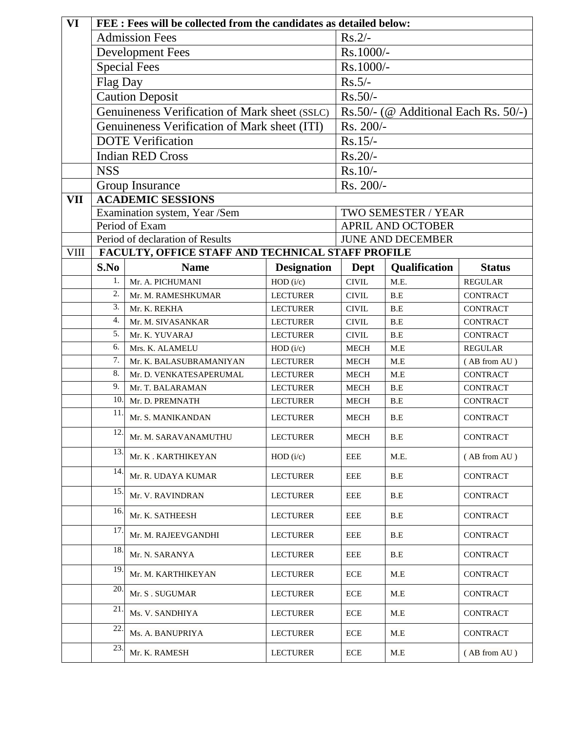| VI          | FEE : Fees will be collected from the candidates as detailed below: |                                                   |                    |              |                                         |                 |  |  |
|-------------|---------------------------------------------------------------------|---------------------------------------------------|--------------------|--------------|-----------------------------------------|-----------------|--|--|
|             | <b>Admission Fees</b>                                               |                                                   |                    | $Rs.2/-$     |                                         |                 |  |  |
|             | <b>Development Fees</b>                                             |                                                   |                    | Rs.1000/-    |                                         |                 |  |  |
|             | <b>Special Fees</b>                                                 |                                                   |                    | Rs.1000/-    |                                         |                 |  |  |
|             | Flag Day                                                            |                                                   |                    | $Rs.5/-$     |                                         |                 |  |  |
|             |                                                                     | <b>Caution Deposit</b>                            |                    | $Rs.50/-$    |                                         |                 |  |  |
|             |                                                                     | Genuineness Verification of Mark sheet (SSLC)     |                    |              | Rs.50/- (@ Additional Each Rs. $50/-$ ) |                 |  |  |
|             |                                                                     | Genuineness Verification of Mark sheet (ITI)      |                    | Rs. 200/-    |                                         |                 |  |  |
|             |                                                                     | <b>DOTE</b> Verification                          |                    | $Rs.15/-$    |                                         |                 |  |  |
|             |                                                                     | <b>Indian RED Cross</b>                           |                    | $Rs.20/-$    |                                         |                 |  |  |
|             | <b>NSS</b>                                                          |                                                   |                    |              | $Rs.10/-$                               |                 |  |  |
|             |                                                                     | Group Insurance                                   |                    | Rs. 200/-    |                                         |                 |  |  |
| <b>VII</b>  |                                                                     | <b>ACADEMIC SESSIONS</b>                          |                    |              |                                         |                 |  |  |
|             |                                                                     | Examination system, Year /Sem                     |                    |              | TWO SEMESTER / YEAR                     |                 |  |  |
|             |                                                                     | Period of Exam                                    |                    |              | <b>APRIL AND OCTOBER</b>                |                 |  |  |
|             |                                                                     | Period of declaration of Results                  |                    |              | <b>JUNE AND DECEMBER</b>                |                 |  |  |
| <b>VIII</b> |                                                                     | FACULTY, OFFICE STAFF AND TECHNICAL STAFF PROFILE |                    |              |                                         |                 |  |  |
|             | S.No                                                                | <b>Name</b>                                       | <b>Designation</b> | Dept         | Qualification                           | <b>Status</b>   |  |  |
|             | 1.                                                                  | Mr. A. PICHUMANI                                  | HOD (i/c)          | <b>CIVIL</b> | M.E.                                    | <b>REGULAR</b>  |  |  |
|             | 2.                                                                  | Mr. M. RAMESHKUMAR                                | <b>LECTURER</b>    | <b>CIVIL</b> | B.E                                     | <b>CONTRACT</b> |  |  |
|             | 3.                                                                  | Mr. K. REKHA                                      | <b>LECTURER</b>    | <b>CIVIL</b> | B.E                                     | <b>CONTRACT</b> |  |  |
|             | 4.                                                                  | Mr. M. SIVASANKAR                                 | <b>LECTURER</b>    | <b>CIVIL</b> | B.E                                     | <b>CONTRACT</b> |  |  |
|             | 5.                                                                  | Mr. K. YUVARAJ                                    | <b>LECTURER</b>    | <b>CIVIL</b> | B.E                                     | <b>CONTRACT</b> |  |  |
|             | 6.                                                                  | Mrs. K. ALAMELU                                   | HOD (i/c)          | <b>MECH</b>  | M.E                                     | <b>REGULAR</b>  |  |  |
|             | 7.                                                                  | Mr. K. BALASUBRAMANIYAN                           | <b>LECTURER</b>    | <b>MECH</b>  | M.E                                     | (AB from AU)    |  |  |
|             | 8.                                                                  | Mr. D. VENKATESAPERUMAL                           | <b>LECTURER</b>    | <b>MECH</b>  | M.E                                     | <b>CONTRACT</b> |  |  |
|             | 9.                                                                  | Mr. T. BALARAMAN                                  | <b>LECTURER</b>    | <b>MECH</b>  | B.E                                     | <b>CONTRACT</b> |  |  |
|             | 10.<br>11                                                           | Mr. D. PREMNATH                                   | <b>LECTURER</b>    | <b>MECH</b>  | B.E                                     | <b>CONTRACT</b> |  |  |
|             |                                                                     | Mr. S. MANIKANDAN                                 | <b>LECTURER</b>    | <b>MECH</b>  | B.E                                     | <b>CONTRACT</b> |  |  |
|             | $\overline{12}$ .                                                   | Mr. M. SARAVANAMUTHU                              | <b>LECTURER</b>    | MECH         | B.E                                     | <b>CONTRACT</b> |  |  |
|             | 13.                                                                 | Mr. K. KARTHIKEYAN                                | HOD (i/c)          | EEE          | M.E.                                    | (AB from AU)    |  |  |
|             | 14.                                                                 | Mr. R. UDAYA KUMAR                                | <b>LECTURER</b>    | EEE          | B.E                                     | <b>CONTRACT</b> |  |  |
|             | 15.                                                                 | Mr. V. RAVINDRAN                                  | <b>LECTURER</b>    | EEE          | B.E                                     | <b>CONTRACT</b> |  |  |
|             | 16.                                                                 | Mr. K. SATHEESH                                   | LECTURER           | EEE          | B.E                                     | <b>CONTRACT</b> |  |  |
|             | 17                                                                  | Mr. M. RAJEEVGANDHI                               | <b>LECTURER</b>    | EEE          | B.E                                     | <b>CONTRACT</b> |  |  |
|             | 18.                                                                 | Mr. N. SARANYA                                    | <b>LECTURER</b>    | EEE          | B.E                                     | <b>CONTRACT</b> |  |  |
|             | 19.                                                                 | Mr. M. KARTHIKEYAN                                | <b>LECTURER</b>    | ECE          | M.E                                     | <b>CONTRACT</b> |  |  |
|             | 20.                                                                 | Mr. S. SUGUMAR                                    | <b>LECTURER</b>    | ECE          | M.E                                     | <b>CONTRACT</b> |  |  |
|             | 21.                                                                 | Ms. V. SANDHIYA                                   | <b>LECTURER</b>    | ECE          | M.E                                     | <b>CONTRACT</b> |  |  |
|             | 22                                                                  | Ms. A. BANUPRIYA                                  | <b>LECTURER</b>    | ECE          | M.E                                     | <b>CONTRACT</b> |  |  |
|             | 23.                                                                 | Mr. K. RAMESH                                     | <b>LECTURER</b>    | ECE          | M.E                                     | (AB from AU)    |  |  |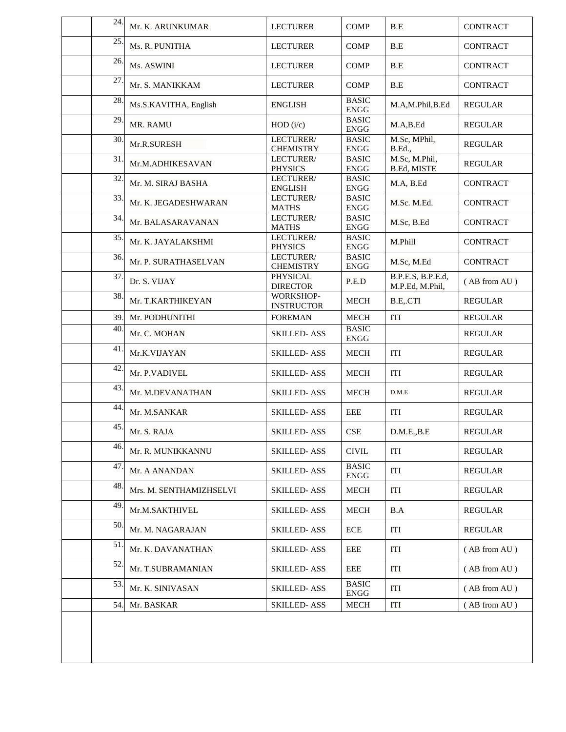| 24. | Mr. K. ARUNKUMAR        | <b>LECTURER</b>                    | <b>COMP</b>                  | B.E                                  | <b>CONTRACT</b> |
|-----|-------------------------|------------------------------------|------------------------------|--------------------------------------|-----------------|
| 25. | Ms. R. PUNITHA          | <b>LECTURER</b>                    | <b>COMP</b>                  | B.E                                  | <b>CONTRACT</b> |
| 26. | Ms. ASWINI              | <b>LECTURER</b>                    | <b>COMP</b>                  | B.E                                  | <b>CONTRACT</b> |
| 27  | Mr. S. MANIKKAM         | <b>LECTURER</b>                    | <b>COMP</b>                  | B.E                                  | <b>CONTRACT</b> |
| 28. | Ms.S.KAVITHA, English   | <b>ENGLISH</b>                     | <b>BASIC</b><br><b>ENGG</b>  | M.A,M.Phil,B.Ed                      | <b>REGULAR</b>  |
| 29. | MR. RAMU                | HOD (i/c)                          | <b>BASIC</b><br>${\rm ENGG}$ | M.A,B.Ed                             | <b>REGULAR</b>  |
| 30. | Mr.R.SURESH             | LECTURER/<br><b>CHEMISTRY</b>      | <b>BASIC</b><br>${\rm ENGG}$ | M.Sc, MPhil,<br><b>B.Ed.</b> ,       | <b>REGULAR</b>  |
| 31. | Mr.M.ADHIKESAVAN        | LECTURER/<br><b>PHYSICS</b>        | <b>BASIC</b><br>${\rm ENGG}$ | M.Sc, M.Phil,<br>B.Ed, MISTE         | REGULAR         |
| 32. | Mr. M. SIRAJ BASHA      | LECTURER/<br><b>ENGLISH</b>        | <b>BASIC</b><br><b>ENGG</b>  | M.A, B.Ed                            | <b>CONTRACT</b> |
| 33. | Mr. K. JEGADESHWARAN    | LECTURER/<br><b>MATHS</b>          | <b>BASIC</b><br>${\rm ENGG}$ | M.Sc. M.Ed.                          | <b>CONTRACT</b> |
| 34. | Mr. BALASARAVANAN       | LECTURER/<br><b>MATHS</b>          | <b>BASIC</b><br>${\rm ENGG}$ | M.Sc, B.Ed                           | <b>CONTRACT</b> |
| 35. | Mr. K. JAYALAKSHMI      | LECTURER/<br><b>PHYSICS</b>        | <b>BASIC</b><br><b>ENGG</b>  | M.Phill                              | <b>CONTRACT</b> |
| 36. | Mr. P. SURATHASELVAN    | LECTURER/<br><b>CHEMISTRY</b>      | <b>BASIC</b><br><b>ENGG</b>  | M.Sc, M.Ed                           | <b>CONTRACT</b> |
| 37. | Dr. S. VIJAY            | <b>PHYSICAL</b><br><b>DIRECTOR</b> | P.E.D                        | B.P.E.S, B.P.E.d,<br>M.P.Ed, M.Phil, | (AB from AU)    |
| 38. | Mr. T.KARTHIKEYAN       | WORKSHOP-<br><b>INSTRUCTOR</b>     | <b>MECH</b>                  | B.E.CTI                              | <b>REGULAR</b>  |
| 39. | Mr. PODHUNITHI          | <b>FOREMAN</b>                     | <b>MECH</b>                  | ITI                                  | <b>REGULAR</b>  |
| 40. | Mr. C. MOHAN            | <b>SKILLED-ASS</b>                 | <b>BASIC</b><br><b>ENGG</b>  |                                      | <b>REGULAR</b>  |
| 41  | Mr.K.VIJAYAN            | <b>SKILLED-ASS</b>                 | <b>MECH</b>                  | ITI                                  | <b>REGULAR</b>  |
| 42. | Mr. P.VADIVEL           | <b>SKILLED-ASS</b>                 | <b>MECH</b>                  | ITI                                  | <b>REGULAR</b>  |
| 43. | Mr. M.DEVANATHAN        | <b>SKILLED-ASS</b>                 | <b>MECH</b>                  | D.M.E                                | <b>REGULAR</b>  |
| 44. | Mr. M.SANKAR            | <b>SKILLED-ASS</b>                 | EEE                          | ITI                                  | REGULAR         |
| 45. | Mr. S. RAJA             | <b>SKILLED-ASS</b>                 | <b>CSE</b>                   | D.M.E., B.E                          | REGULAR         |
| 46. | Mr. R. MUNIKKANNU       | <b>SKILLED-ASS</b>                 | <b>CIVIL</b>                 | ITI                                  | REGULAR         |
| 47. | Mr. A ANANDAN           | <b>SKILLED-ASS</b>                 | <b>BASIC</b><br><b>ENGG</b>  | ITI                                  | <b>REGULAR</b>  |
| 48. | Mrs. M. SENTHAMIZHSELVI | <b>SKILLED-ASS</b>                 | <b>MECH</b>                  | ITI                                  | <b>REGULAR</b>  |
| 49. | Mr.M.SAKTHIVEL          | <b>SKILLED-ASS</b>                 | <b>MECH</b>                  | B.A                                  | <b>REGULAR</b>  |
| 50. | Mr. M. NAGARAJAN        | <b>SKILLED-ASS</b>                 | ECE                          | ITI                                  | REGULAR         |
| 51. | Mr. K. DAVANATHAN       | <b>SKILLED-ASS</b>                 | EEE                          | ITI                                  | (AB from AU)    |
| 52. | Mr. T.SUBRAMANIAN       | SKILLED- ASS                       | EEE                          | ITI                                  | (AB from AU)    |
| 53. | Mr. K. SINIVASAN        | <b>SKILLED-ASS</b>                 | <b>BASIC</b><br><b>ENGG</b>  | ITI                                  | (AB from AU)    |
| 54. | Mr. BASKAR              | <b>SKILLED-ASS</b>                 | <b>MECH</b>                  | ITI                                  | (AB from AU)    |
|     |                         |                                    |                              |                                      |                 |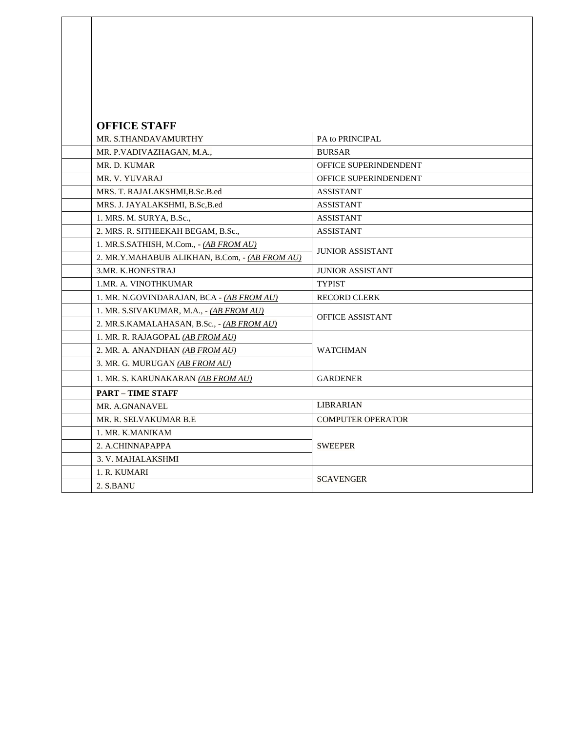| <b>OFFICE STAFF</b>                            |                          |  |  |
|------------------------------------------------|--------------------------|--|--|
| MR. S.THANDAVAMURTHY                           | PA to PRINCIPAL          |  |  |
| MR. P.VADIVAZHAGAN, M.A.,                      | <b>BURSAR</b>            |  |  |
| MR. D. KUMAR                                   | OFFICE SUPERINDENDENT    |  |  |
| MR. V. YUVARAJ                                 | OFFICE SUPERINDENDENT    |  |  |
| MRS. T. RAJALAKSHMI, B.Sc.B.ed                 | <b>ASSISTANT</b>         |  |  |
| MRS. J. JAYALAKSHMI, B.Sc, B.ed                | <b>ASSISTANT</b>         |  |  |
| 1. MRS. M. SURYA, B.Sc.,                       | <b>ASSISTANT</b>         |  |  |
| 2. MRS. R. SITHEEKAH BEGAM, B.Sc.,             | <b>ASSISTANT</b>         |  |  |
| 1. MR.S.SATHISH, M.Com., - (AB FROM AU)        |                          |  |  |
| 2. MR.Y.MAHABUB ALIKHAN, B.Com, - (AB FROM AU) | <b>JUNIOR ASSISTANT</b>  |  |  |
| 3.MR. K.HONESTRAJ                              | <b>JUNIOR ASSISTANT</b>  |  |  |
| 1.MR. A. VINOTHKUMAR                           | <b>TYPIST</b>            |  |  |
| 1. MR. N.GOVINDARAJAN, BCA - (AB FROM AU)      | <b>RECORD CLERK</b>      |  |  |
| 1. MR. S.SIVAKUMAR, M.A., - (AB FROM AU)       |                          |  |  |
| 2. MR.S.KAMALAHASAN, B.Sc., - (AB FROM AU)     | <b>OFFICE ASSISTANT</b>  |  |  |
| 1. MR. R. RAJAGOPAL (AB FROM AU)               |                          |  |  |
| 2. MR. A. ANANDHAN (AB FROM AU)                | <b>WATCHMAN</b>          |  |  |
| 3. MR. G. MURUGAN (AB FROM AU)                 |                          |  |  |
| 1. MR. S. KARUNAKARAN (AB FROM AU)             | <b>GARDENER</b>          |  |  |
| <b>PART - TIME STAFF</b>                       |                          |  |  |
| MR. A.GNANAVEL                                 | <b>LIBRARIAN</b>         |  |  |
| MR. R. SELVAKUMAR B.E                          | <b>COMPUTER OPERATOR</b> |  |  |
| 1. MR. K.MANIKAM                               |                          |  |  |
| 2. A.CHINNAPAPPA                               | <b>SWEEPER</b>           |  |  |
| 3. V. MAHALAKSHMI                              |                          |  |  |
| 1. R. KUMARI                                   |                          |  |  |
| 2. S.BANU                                      | <b>SCAVENGER</b>         |  |  |